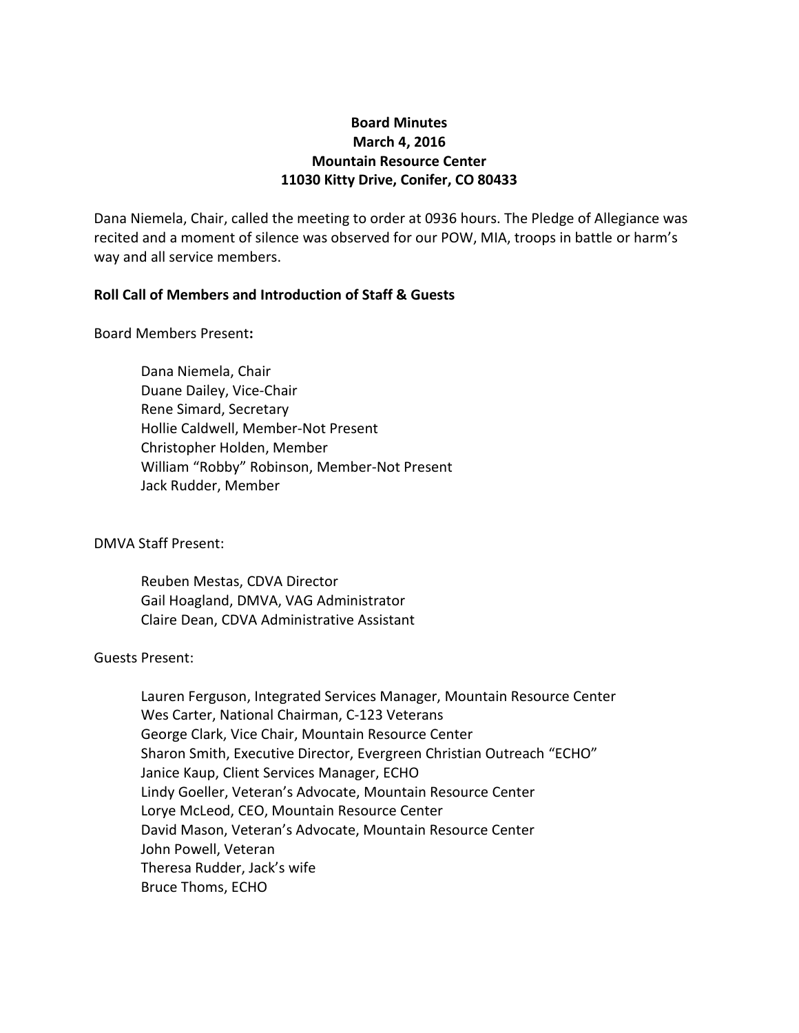# **Board Minutes March 4, 2016 Mountain Resource Center 11030 Kitty Drive, Conifer, CO 80433**

Dana Niemela, Chair, called the meeting to order at 0936 hours. The Pledge of Allegiance was recited and a moment of silence was observed for our POW, MIA, troops in battle or harm's way and all service members.

### **Roll Call of Members and Introduction of Staff & Guests**

Board Members Present**:**

Dana Niemela, Chair Duane Dailey, Vice-Chair Rene Simard, Secretary Hollie Caldwell, Member-Not Present Christopher Holden, Member William "Robby" Robinson, Member-Not Present Jack Rudder, Member

DMVA Staff Present:

Reuben Mestas, CDVA Director Gail Hoagland, DMVA, VAG Administrator Claire Dean, CDVA Administrative Assistant

#### Guests Present:

Lauren Ferguson, Integrated Services Manager, Mountain Resource Center Wes Carter, National Chairman, C-123 Veterans George Clark, Vice Chair, Mountain Resource Center Sharon Smith, Executive Director, Evergreen Christian Outreach "ECHO" Janice Kaup, Client Services Manager, ECHO Lindy Goeller, Veteran's Advocate, Mountain Resource Center Lorye McLeod, CEO, Mountain Resource Center David Mason, Veteran's Advocate, Mountain Resource Center John Powell, Veteran Theresa Rudder, Jack's wife Bruce Thoms, ECHO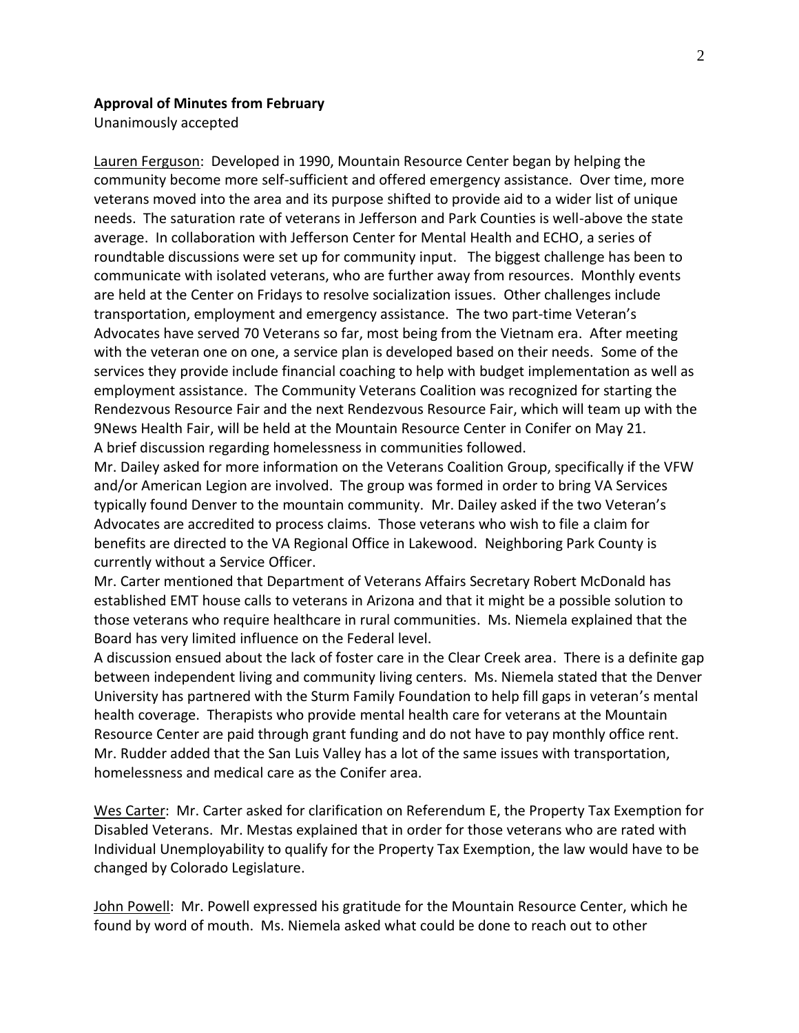#### **Approval of Minutes from February**

Unanimously accepted

Lauren Ferguson: Developed in 1990, Mountain Resource Center began by helping the community become more self-sufficient and offered emergency assistance. Over time, more veterans moved into the area and its purpose shifted to provide aid to a wider list of unique needs. The saturation rate of veterans in Jefferson and Park Counties is well-above the state average. In collaboration with Jefferson Center for Mental Health and ECHO, a series of roundtable discussions were set up for community input. The biggest challenge has been to communicate with isolated veterans, who are further away from resources. Monthly events are held at the Center on Fridays to resolve socialization issues. Other challenges include transportation, employment and emergency assistance. The two part-time Veteran's Advocates have served 70 Veterans so far, most being from the Vietnam era. After meeting with the veteran one on one, a service plan is developed based on their needs. Some of the services they provide include financial coaching to help with budget implementation as well as employment assistance. The Community Veterans Coalition was recognized for starting the Rendezvous Resource Fair and the next Rendezvous Resource Fair, which will team up with the 9News Health Fair, will be held at the Mountain Resource Center in Conifer on May 21. A brief discussion regarding homelessness in communities followed.

Mr. Dailey asked for more information on the Veterans Coalition Group, specifically if the VFW and/or American Legion are involved. The group was formed in order to bring VA Services typically found Denver to the mountain community. Mr. Dailey asked if the two Veteran's Advocates are accredited to process claims. Those veterans who wish to file a claim for benefits are directed to the VA Regional Office in Lakewood. Neighboring Park County is currently without a Service Officer.

Mr. Carter mentioned that Department of Veterans Affairs Secretary Robert McDonald has established EMT house calls to veterans in Arizona and that it might be a possible solution to those veterans who require healthcare in rural communities. Ms. Niemela explained that the Board has very limited influence on the Federal level.

A discussion ensued about the lack of foster care in the Clear Creek area. There is a definite gap between independent living and community living centers. Ms. Niemela stated that the Denver University has partnered with the Sturm Family Foundation to help fill gaps in veteran's mental health coverage. Therapists who provide mental health care for veterans at the Mountain Resource Center are paid through grant funding and do not have to pay monthly office rent. Mr. Rudder added that the San Luis Valley has a lot of the same issues with transportation, homelessness and medical care as the Conifer area.

Wes Carter: Mr. Carter asked for clarification on Referendum E, the Property Tax Exemption for Disabled Veterans. Mr. Mestas explained that in order for those veterans who are rated with Individual Unemployability to qualify for the Property Tax Exemption, the law would have to be changed by Colorado Legislature.

John Powell: Mr. Powell expressed his gratitude for the Mountain Resource Center, which he found by word of mouth. Ms. Niemela asked what could be done to reach out to other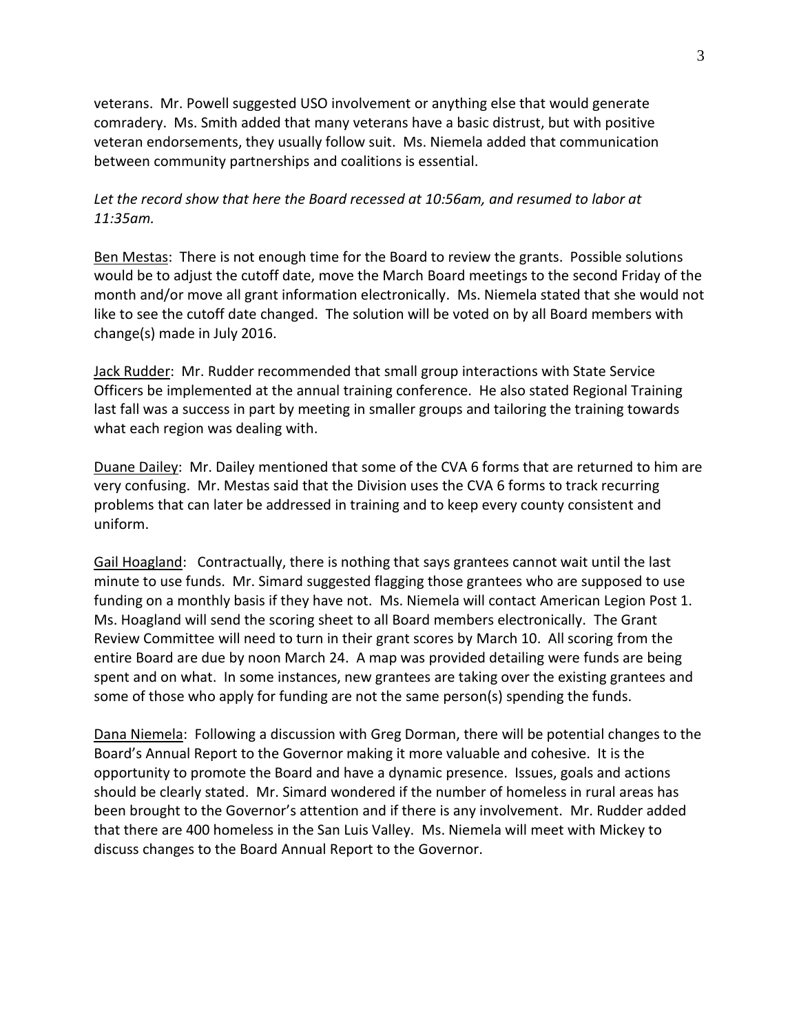veterans. Mr. Powell suggested USO involvement or anything else that would generate comradery. Ms. Smith added that many veterans have a basic distrust, but with positive veteran endorsements, they usually follow suit. Ms. Niemela added that communication between community partnerships and coalitions is essential.

## *Let the record show that here the Board recessed at 10:56am, and resumed to labor at 11:35am.*

Ben Mestas: There is not enough time for the Board to review the grants. Possible solutions would be to adjust the cutoff date, move the March Board meetings to the second Friday of the month and/or move all grant information electronically. Ms. Niemela stated that she would not like to see the cutoff date changed. The solution will be voted on by all Board members with change(s) made in July 2016.

Jack Rudder: Mr. Rudder recommended that small group interactions with State Service Officers be implemented at the annual training conference. He also stated Regional Training last fall was a success in part by meeting in smaller groups and tailoring the training towards what each region was dealing with.

Duane Dailey: Mr. Dailey mentioned that some of the CVA 6 forms that are returned to him are very confusing. Mr. Mestas said that the Division uses the CVA 6 forms to track recurring problems that can later be addressed in training and to keep every county consistent and uniform.

Gail Hoagland: Contractually, there is nothing that says grantees cannot wait until the last minute to use funds. Mr. Simard suggested flagging those grantees who are supposed to use funding on a monthly basis if they have not. Ms. Niemela will contact American Legion Post 1. Ms. Hoagland will send the scoring sheet to all Board members electronically. The Grant Review Committee will need to turn in their grant scores by March 10. All scoring from the entire Board are due by noon March 24. A map was provided detailing were funds are being spent and on what. In some instances, new grantees are taking over the existing grantees and some of those who apply for funding are not the same person(s) spending the funds.

Dana Niemela: Following a discussion with Greg Dorman, there will be potential changes to the Board's Annual Report to the Governor making it more valuable and cohesive. It is the opportunity to promote the Board and have a dynamic presence. Issues, goals and actions should be clearly stated. Mr. Simard wondered if the number of homeless in rural areas has been brought to the Governor's attention and if there is any involvement. Mr. Rudder added that there are 400 homeless in the San Luis Valley. Ms. Niemela will meet with Mickey to discuss changes to the Board Annual Report to the Governor.